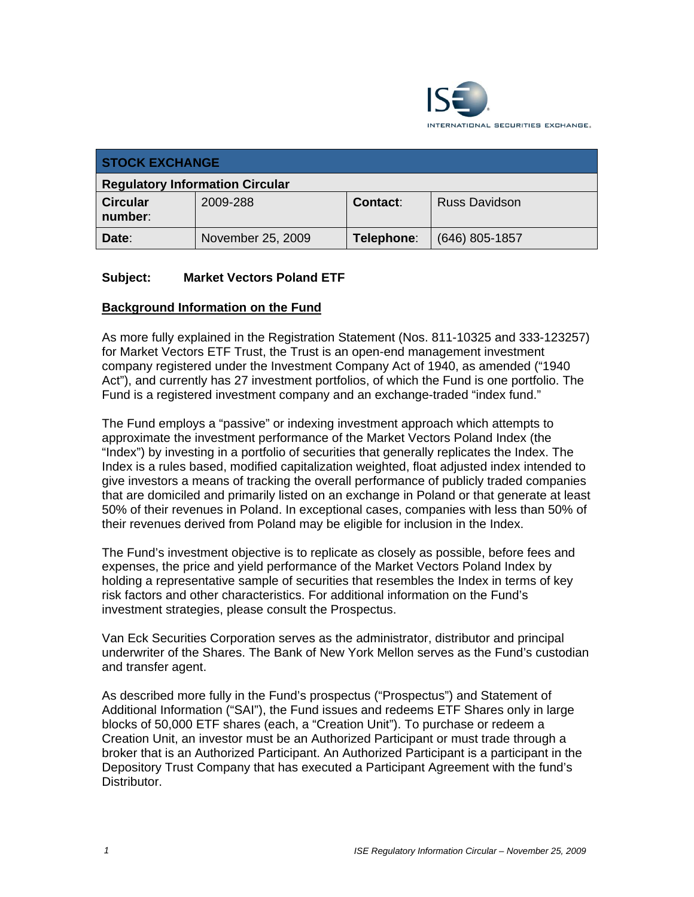

| <b>STOCK EXCHANGE</b>                  |                   |                 |                      |  |
|----------------------------------------|-------------------|-----------------|----------------------|--|
| <b>Regulatory Information Circular</b> |                   |                 |                      |  |
| <b>Circular</b><br>number:             | 2009-288          | <b>Contact:</b> | <b>Russ Davidson</b> |  |
| Date:                                  | November 25, 2009 | Telephone:      | (646) 805-1857       |  |

# **Subject: Market Vectors Poland ETF**

### **Background Information on the Fund**

As more fully explained in the Registration Statement (Nos. 811-10325 and 333-123257) for Market Vectors ETF Trust, the Trust is an open-end management investment company registered under the Investment Company Act of 1940, as amended ("1940 Act"), and currently has 27 investment portfolios, of which the Fund is one portfolio. The Fund is a registered investment company and an exchange-traded "index fund."

The Fund employs a "passive" or indexing investment approach which attempts to approximate the investment performance of the Market Vectors Poland Index (the "Index") by investing in a portfolio of securities that generally replicates the Index. The Index is a rules based, modified capitalization weighted, float adjusted index intended to give investors a means of tracking the overall performance of publicly traded companies that are domiciled and primarily listed on an exchange in Poland or that generate at least 50% of their revenues in Poland. In exceptional cases, companies with less than 50% of their revenues derived from Poland may be eligible for inclusion in the Index.

The Fund's investment objective is to replicate as closely as possible, before fees and expenses, the price and yield performance of the Market Vectors Poland Index by holding a representative sample of securities that resembles the Index in terms of key risk factors and other characteristics. For additional information on the Fund's investment strategies, please consult the Prospectus.

Van Eck Securities Corporation serves as the administrator, distributor and principal underwriter of the Shares. The Bank of New York Mellon serves as the Fund's custodian and transfer agent.

As described more fully in the Fund's prospectus ("Prospectus") and Statement of Additional Information ("SAI"), the Fund issues and redeems ETF Shares only in large blocks of 50,000 ETF shares (each, a "Creation Unit"). To purchase or redeem a Creation Unit, an investor must be an Authorized Participant or must trade through a broker that is an Authorized Participant. An Authorized Participant is a participant in the Depository Trust Company that has executed a Participant Agreement with the fund's **Distributor.**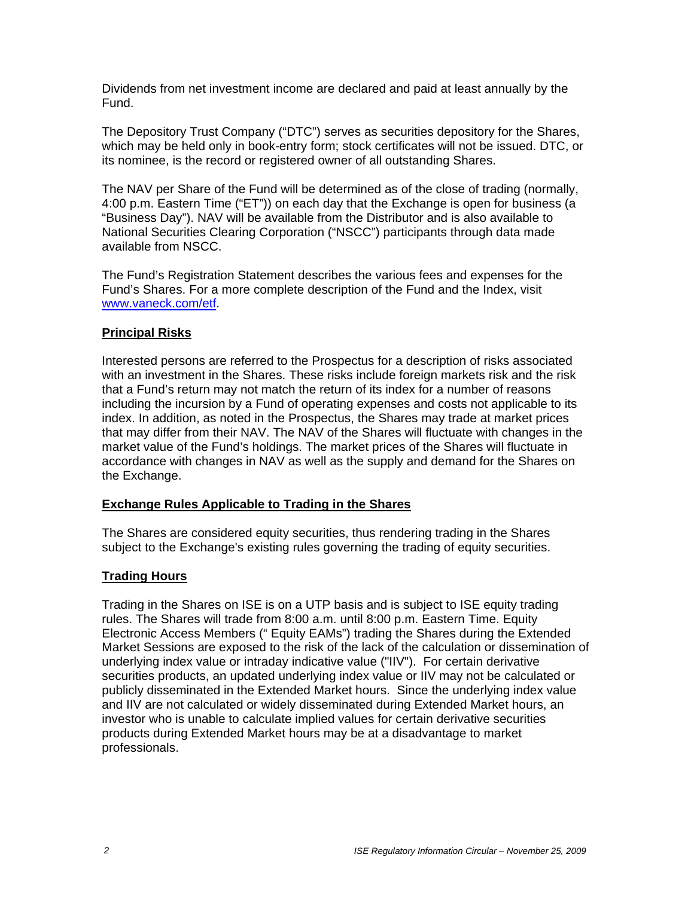Dividends from net investment income are declared and paid at least annually by the Fund.

The Depository Trust Company ("DTC") serves as securities depository for the Shares, which may be held only in book-entry form; stock certificates will not be issued. DTC, or its nominee, is the record or registered owner of all outstanding Shares.

The NAV per Share of the Fund will be determined as of the close of trading (normally, 4:00 p.m. Eastern Time ("ET")) on each day that the Exchange is open for business (a "Business Day"). NAV will be available from the Distributor and is also available to National Securities Clearing Corporation ("NSCC") participants through data made available from NSCC.

The Fund's Registration Statement describes the various fees and expenses for the Fund's Shares. For a more complete description of the Fund and the Index, visit www.vaneck.com/etf.

### **Principal Risks**

Interested persons are referred to the Prospectus for a description of risks associated with an investment in the Shares. These risks include foreign markets risk and the risk that a Fund's return may not match the return of its index for a number of reasons including the incursion by a Fund of operating expenses and costs not applicable to its index. In addition, as noted in the Prospectus, the Shares may trade at market prices that may differ from their NAV. The NAV of the Shares will fluctuate with changes in the market value of the Fund's holdings. The market prices of the Shares will fluctuate in accordance with changes in NAV as well as the supply and demand for the Shares on the Exchange.

#### **Exchange Rules Applicable to Trading in the Shares**

The Shares are considered equity securities, thus rendering trading in the Shares subject to the Exchange's existing rules governing the trading of equity securities.

### **Trading Hours**

Trading in the Shares on ISE is on a UTP basis and is subject to ISE equity trading rules. The Shares will trade from 8:00 a.m. until 8:00 p.m. Eastern Time. Equity Electronic Access Members (" Equity EAMs") trading the Shares during the Extended Market Sessions are exposed to the risk of the lack of the calculation or dissemination of underlying index value or intraday indicative value ("IIV"). For certain derivative securities products, an updated underlying index value or IIV may not be calculated or publicly disseminated in the Extended Market hours. Since the underlying index value and IIV are not calculated or widely disseminated during Extended Market hours, an investor who is unable to calculate implied values for certain derivative securities products during Extended Market hours may be at a disadvantage to market professionals.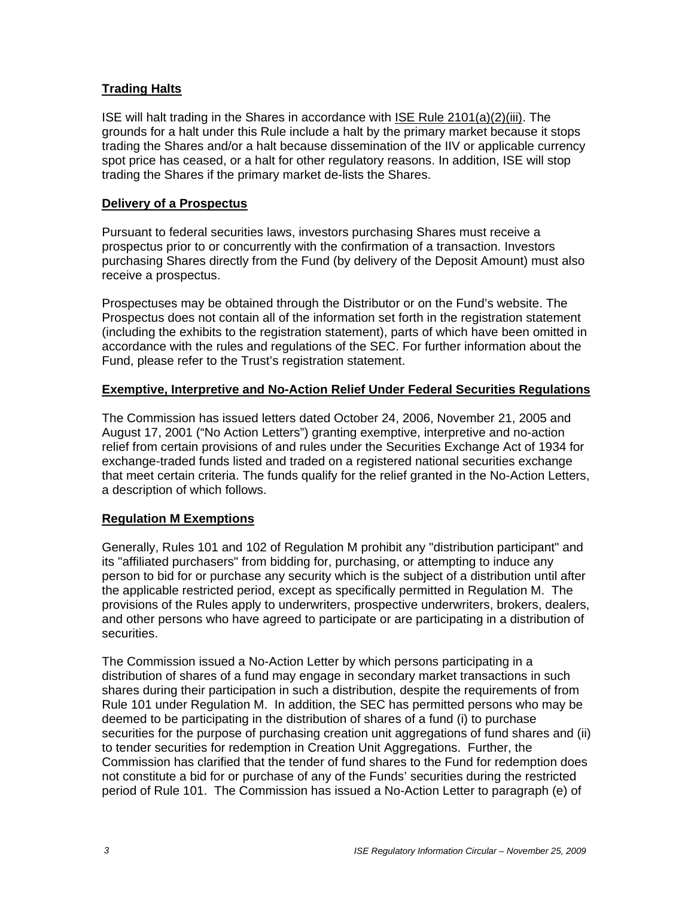# **Trading Halts**

ISE will halt trading in the Shares in accordance with ISE Rule 2101(a)(2)(iii). The grounds for a halt under this Rule include a halt by the primary market because it stops trading the Shares and/or a halt because dissemination of the IIV or applicable currency spot price has ceased, or a halt for other regulatory reasons. In addition, ISE will stop trading the Shares if the primary market de-lists the Shares.

#### **Delivery of a Prospectus**

Pursuant to federal securities laws, investors purchasing Shares must receive a prospectus prior to or concurrently with the confirmation of a transaction. Investors purchasing Shares directly from the Fund (by delivery of the Deposit Amount) must also receive a prospectus.

Prospectuses may be obtained through the Distributor or on the Fund's website. The Prospectus does not contain all of the information set forth in the registration statement (including the exhibits to the registration statement), parts of which have been omitted in accordance with the rules and regulations of the SEC. For further information about the Fund, please refer to the Trust's registration statement.

### **Exemptive, Interpretive and No-Action Relief Under Federal Securities Regulations**

The Commission has issued letters dated October 24, 2006, November 21, 2005 and August 17, 2001 ("No Action Letters") granting exemptive, interpretive and no-action relief from certain provisions of and rules under the Securities Exchange Act of 1934 for exchange-traded funds listed and traded on a registered national securities exchange that meet certain criteria. The funds qualify for the relief granted in the No-Action Letters, a description of which follows.

### **Regulation M Exemptions**

Generally, Rules 101 and 102 of Regulation M prohibit any "distribution participant" and its "affiliated purchasers" from bidding for, purchasing, or attempting to induce any person to bid for or purchase any security which is the subject of a distribution until after the applicable restricted period, except as specifically permitted in Regulation M. The provisions of the Rules apply to underwriters, prospective underwriters, brokers, dealers, and other persons who have agreed to participate or are participating in a distribution of securities.

The Commission issued a No-Action Letter by which persons participating in a distribution of shares of a fund may engage in secondary market transactions in such shares during their participation in such a distribution, despite the requirements of from Rule 101 under Regulation M. In addition, the SEC has permitted persons who may be deemed to be participating in the distribution of shares of a fund (i) to purchase securities for the purpose of purchasing creation unit aggregations of fund shares and (ii) to tender securities for redemption in Creation Unit Aggregations. Further, the Commission has clarified that the tender of fund shares to the Fund for redemption does not constitute a bid for or purchase of any of the Funds' securities during the restricted period of Rule 101. The Commission has issued a No-Action Letter to paragraph (e) of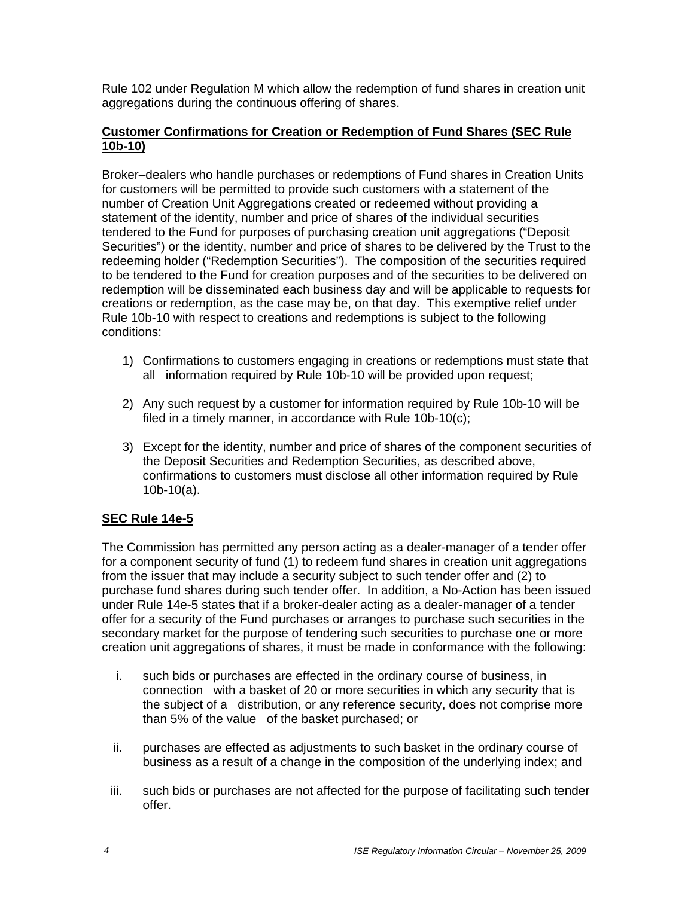Rule 102 under Regulation M which allow the redemption of fund shares in creation unit aggregations during the continuous offering of shares.

### **Customer Confirmations for Creation or Redemption of Fund Shares (SEC Rule 10b-10)**

Broker–dealers who handle purchases or redemptions of Fund shares in Creation Units for customers will be permitted to provide such customers with a statement of the number of Creation Unit Aggregations created or redeemed without providing a statement of the identity, number and price of shares of the individual securities tendered to the Fund for purposes of purchasing creation unit aggregations ("Deposit Securities") or the identity, number and price of shares to be delivered by the Trust to the redeeming holder ("Redemption Securities"). The composition of the securities required to be tendered to the Fund for creation purposes and of the securities to be delivered on redemption will be disseminated each business day and will be applicable to requests for creations or redemption, as the case may be, on that day. This exemptive relief under Rule 10b-10 with respect to creations and redemptions is subject to the following conditions:

- 1) Confirmations to customers engaging in creations or redemptions must state that all information required by Rule 10b-10 will be provided upon request;
- 2) Any such request by a customer for information required by Rule 10b-10 will be filed in a timely manner, in accordance with Rule 10b-10(c);
- 3) Except for the identity, number and price of shares of the component securities of the Deposit Securities and Redemption Securities, as described above, confirmations to customers must disclose all other information required by Rule 10b-10(a).

# **SEC Rule 14e-5**

The Commission has permitted any person acting as a dealer-manager of a tender offer for a component security of fund (1) to redeem fund shares in creation unit aggregations from the issuer that may include a security subject to such tender offer and (2) to purchase fund shares during such tender offer. In addition, a No-Action has been issued under Rule 14e-5 states that if a broker-dealer acting as a dealer-manager of a tender offer for a security of the Fund purchases or arranges to purchase such securities in the secondary market for the purpose of tendering such securities to purchase one or more creation unit aggregations of shares, it must be made in conformance with the following:

- i. such bids or purchases are effected in the ordinary course of business, in connection with a basket of 20 or more securities in which any security that is the subject of a distribution, or any reference security, does not comprise more than 5% of the value of the basket purchased; or
- ii. purchases are effected as adjustments to such basket in the ordinary course of business as a result of a change in the composition of the underlying index; and
- iii. such bids or purchases are not affected for the purpose of facilitating such tender offer.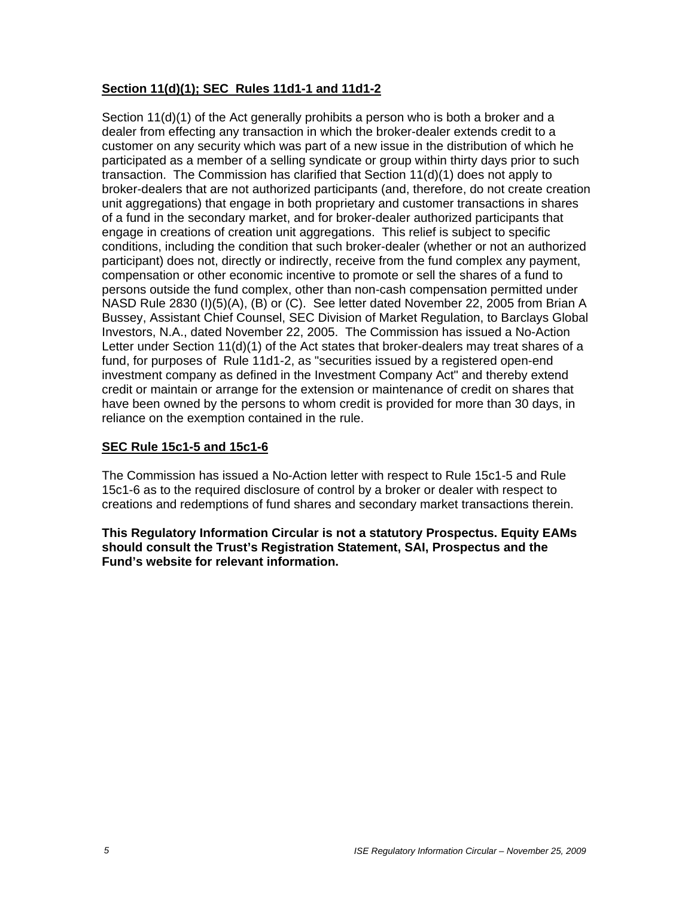# **Section 11(d)(1); SEC Rules 11d1-1 and 11d1-2**

Section 11(d)(1) of the Act generally prohibits a person who is both a broker and a dealer from effecting any transaction in which the broker-dealer extends credit to a customer on any security which was part of a new issue in the distribution of which he participated as a member of a selling syndicate or group within thirty days prior to such transaction. The Commission has clarified that Section 11(d)(1) does not apply to broker-dealers that are not authorized participants (and, therefore, do not create creation unit aggregations) that engage in both proprietary and customer transactions in shares of a fund in the secondary market, and for broker-dealer authorized participants that engage in creations of creation unit aggregations. This relief is subject to specific conditions, including the condition that such broker-dealer (whether or not an authorized participant) does not, directly or indirectly, receive from the fund complex any payment, compensation or other economic incentive to promote or sell the shares of a fund to persons outside the fund complex, other than non-cash compensation permitted under NASD Rule 2830 (I)(5)(A), (B) or (C). See letter dated November 22, 2005 from Brian A Bussey, Assistant Chief Counsel, SEC Division of Market Regulation, to Barclays Global Investors, N.A., dated November 22, 2005. The Commission has issued a No-Action Letter under Section 11(d)(1) of the Act states that broker-dealers may treat shares of a fund, for purposes of Rule 11d1-2, as "securities issued by a registered open-end investment company as defined in the Investment Company Act" and thereby extend credit or maintain or arrange for the extension or maintenance of credit on shares that have been owned by the persons to whom credit is provided for more than 30 days, in reliance on the exemption contained in the rule.

### **SEC Rule 15c1-5 and 15c1-6**

The Commission has issued a No-Action letter with respect to Rule 15c1-5 and Rule 15c1-6 as to the required disclosure of control by a broker or dealer with respect to creations and redemptions of fund shares and secondary market transactions therein.

**This Regulatory Information Circular is not a statutory Prospectus. Equity EAMs should consult the Trust's Registration Statement, SAI, Prospectus and the Fund's website for relevant information.**